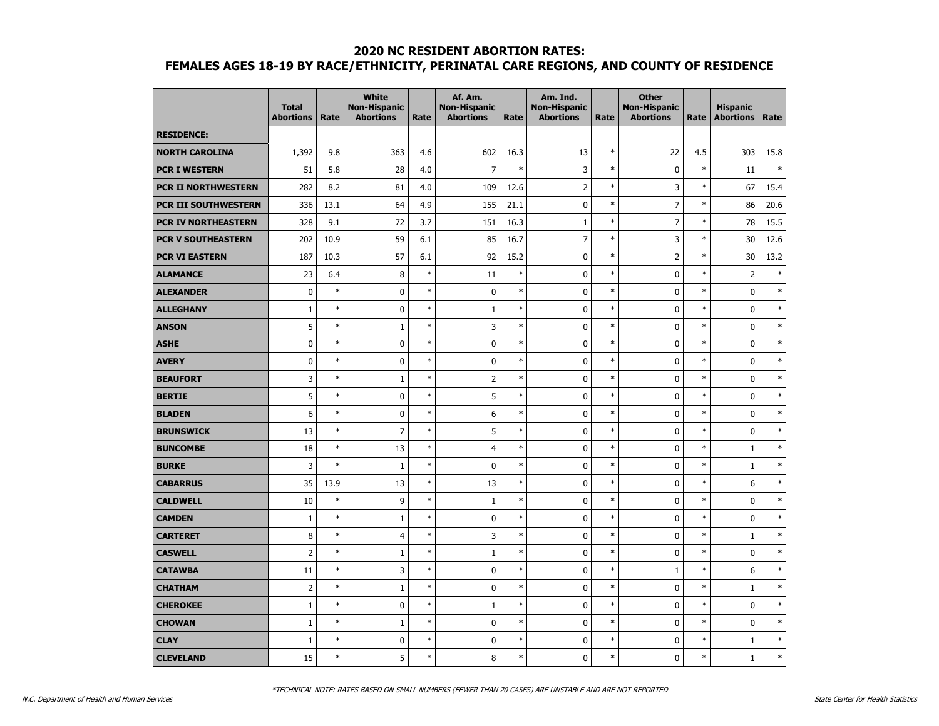|                            | <b>Total</b><br><b>Abortions</b> | Rate   | <b>White</b><br><b>Non-Hispanic</b><br><b>Abortions</b> | Rate   | Af. Am.<br><b>Non-Hispanic</b><br><b>Abortions</b> | Rate   | Am. Ind.<br><b>Non-Hispanic</b><br><b>Abortions</b> | Rate   | <b>Other</b><br><b>Non-Hispanic</b><br><b>Abortions</b> | Rate   | <b>Hispanic</b><br><b>Abortions</b> | Rate   |
|----------------------------|----------------------------------|--------|---------------------------------------------------------|--------|----------------------------------------------------|--------|-----------------------------------------------------|--------|---------------------------------------------------------|--------|-------------------------------------|--------|
| <b>RESIDENCE:</b>          |                                  |        |                                                         |        |                                                    |        |                                                     |        |                                                         |        |                                     |        |
| <b>NORTH CAROLINA</b>      | 1,392                            | 9.8    | 363                                                     | 4.6    | 602                                                | 16.3   | 13                                                  | $\ast$ | 22                                                      | 4.5    | 303                                 | 15.8   |
| <b>PCR I WESTERN</b>       | 51                               | 5.8    | 28                                                      | 4.0    | $\overline{7}$                                     | $\ast$ | 3                                                   | $\ast$ | $\mathbf 0$                                             | $\ast$ | 11                                  | $\ast$ |
| <b>PCR II NORTHWESTERN</b> | 282                              | 8.2    | 81                                                      | 4.0    | 109                                                | 12.6   | $\overline{2}$                                      | $\ast$ | 3                                                       | $\ast$ | 67                                  | 15.4   |
| PCR III SOUTHWESTERN       | 336                              | 13.1   | 64                                                      | 4.9    | 155                                                | 21.1   | $\pmb{0}$                                           | $\ast$ | $\overline{7}$                                          | $\ast$ | 86                                  | 20.6   |
| PCR IV NORTHEASTERN        | 328                              | 9.1    | 72                                                      | 3.7    | 151                                                | 16.3   | $\mathbf{1}$                                        | $\ast$ | $\overline{7}$                                          | $\ast$ | 78                                  | 15.5   |
| <b>PCR V SOUTHEASTERN</b>  | 202                              | 10.9   | 59                                                      | 6.1    | 85                                                 | 16.7   | $\overline{7}$                                      | $\ast$ | 3                                                       | $\ast$ | 30                                  | 12.6   |
| <b>PCR VI EASTERN</b>      | 187                              | 10.3   | 57                                                      | 6.1    | 92                                                 | 15.2   | $\mathbf 0$                                         | $\ast$ | $\overline{2}$                                          | $\ast$ | 30                                  | 13.2   |
| <b>ALAMANCE</b>            | 23                               | 6.4    | 8                                                       | $\ast$ | 11                                                 | $\ast$ | 0                                                   | $\ast$ | 0                                                       | $\ast$ | $\overline{2}$                      | $\ast$ |
| <b>ALEXANDER</b>           | $\mathbf 0$                      | $\ast$ | 0                                                       | $\ast$ | $\pmb{0}$                                          | $\ast$ | 0                                                   | $\ast$ | 0                                                       | $\ast$ | $\mathbf 0$                         | $\ast$ |
| <b>ALLEGHANY</b>           | $1\,$                            | $\ast$ | $\pmb{0}$                                               | $\ast$ | $\mathbf 1$                                        | $\ast$ | 0                                                   | $\ast$ | 0                                                       | $\ast$ | $\mathbf 0$                         | $\ast$ |
| <b>ANSON</b>               | 5                                | $\ast$ | $1\,$                                                   | $\ast$ | 3                                                  | $\ast$ | 0                                                   | $\ast$ | 0                                                       | $\ast$ | $\mathbf 0$                         | $\ast$ |
| <b>ASHE</b>                | $\mathbf 0$                      | $\ast$ | 0                                                       | $\ast$ | $\pmb{0}$                                          | $\ast$ | 0                                                   | $\ast$ | $\mathbf 0$                                             | $\ast$ | $\mathbf 0$                         | $\ast$ |
| <b>AVERY</b>               | $\mathbf 0$                      | $\ast$ | 0                                                       | $\ast$ | $\mathbf 0$                                        | $\ast$ | 0                                                   | $\ast$ | $\mathbf 0$                                             | $\ast$ | $\mathbf 0$                         | $\ast$ |
| <b>BEAUFORT</b>            | $\overline{3}$                   | $\ast$ | $1\,$                                                   | $\ast$ | $\overline{2}$                                     | $\ast$ | 0                                                   | $\ast$ | $\mathbf 0$                                             | $\ast$ | $\pmb{0}$                           | $\ast$ |
| <b>BERTIE</b>              | 5                                | $\ast$ | 0                                                       | $\ast$ | 5                                                  | $\ast$ | $\mathbf 0$                                         | $\ast$ | $\mathbf 0$                                             | $\ast$ | $\mathbf 0$                         | $\ast$ |
| <b>BLADEN</b>              | 6                                | $\ast$ | 0                                                       | $\ast$ | 6                                                  | $\ast$ | 0                                                   | $\ast$ | 0                                                       | $\ast$ | $\mathbf 0$                         | $\ast$ |
| <b>BRUNSWICK</b>           | 13                               | $\ast$ | $\overline{7}$                                          | $\ast$ | 5                                                  | $\ast$ | 0                                                   | $\ast$ | 0                                                       | $\ast$ | $\mathbf 0$                         | $\ast$ |
| <b>BUNCOMBE</b>            | 18                               | $\ast$ | 13                                                      | $\ast$ | $\overline{4}$                                     | $\ast$ | 0                                                   | $\ast$ | $\mathbf 0$                                             | $\ast$ | $\mathbf{1}$                        | $\ast$ |
| <b>BURKE</b>               | 3                                | $\ast$ | $1\,$                                                   | $\ast$ | $\pmb{0}$                                          | $\ast$ | $\mathbf 0$                                         | $\ast$ | $\mathbf 0$                                             | $\ast$ | $1\,$                               | $\ast$ |
| <b>CABARRUS</b>            | 35                               | 13.9   | 13                                                      | $\ast$ | 13                                                 | $\ast$ | 0                                                   | $\ast$ | 0                                                       | $\ast$ | 6                                   | $\ast$ |
| <b>CALDWELL</b>            | 10                               | $\ast$ | 9                                                       | $\ast$ | $\mathbf 1$                                        | $\ast$ | 0                                                   | $\ast$ | 0                                                       | $\ast$ | $\mathbf 0$                         | $\ast$ |
| <b>CAMDEN</b>              | $\mathbf{1}$                     | $\ast$ | $\mathbf{1}$                                            | $\ast$ | $\mathbf 0$                                        | $\ast$ | $\mathbf 0$                                         | $\ast$ | $\mathbf 0$                                             | $\ast$ | $\mathbf 0$                         | $\ast$ |
| <b>CARTERET</b>            | 8                                | $\ast$ | $\overline{4}$                                          | $\ast$ | 3                                                  | $\ast$ | $\mathbf 0$                                         | $\ast$ | $\mathbf 0$                                             | $\ast$ | $\mathbf{1}$                        | $\ast$ |
| <b>CASWELL</b>             | $\overline{2}$                   | $\ast$ | $\mathbf{1}$                                            | $\ast$ | $\mathbf 1$                                        | $\ast$ | 0                                                   | $\ast$ | 0                                                       | $\ast$ | $\pmb{0}$                           | $\ast$ |
| <b>CATAWBA</b>             | 11                               | $\ast$ | 3                                                       | $\ast$ | $\mathbf 0$                                        | $\ast$ | 0                                                   | $\ast$ | $\mathbf{1}$                                            | $\ast$ | 6                                   | $\ast$ |
| <b>CHATHAM</b>             | $\overline{2}$                   | $\ast$ | $\mathbf{1}$                                            | $\ast$ | $\pmb{0}$                                          | $\ast$ | 0                                                   | $\ast$ | 0                                                       | $\ast$ | $\mathbf{1}$                        | $\ast$ |
| <b>CHEROKEE</b>            | $\mathbf{1}$                     | $\ast$ | 0                                                       | $\ast$ | $\mathbf 1$                                        | $\ast$ | $\mathbf 0$                                         | $\ast$ | $\mathbf 0$                                             | $\ast$ | $\mathbf 0$                         | $\ast$ |
| <b>CHOWAN</b>              | $\mathbf{1}$                     | $\ast$ | $\mathbf{1}$                                            | $\ast$ | $\pmb{0}$                                          | $\ast$ | 0                                                   | $\ast$ | 0                                                       | $\ast$ | $\pmb{0}$                           | $\ast$ |
| <b>CLAY</b>                | 1                                | $\ast$ | 0                                                       | $\ast$ | $\pmb{0}$                                          | $\ast$ | 0                                                   | $\ast$ | 0                                                       | $\ast$ | $\,1\,$                             | $\ast$ |
| <b>CLEVELAND</b>           | 15                               | $\ast$ | 5                                                       | $\ast$ | 8                                                  | $\ast$ | 0                                                   | $\ast$ | 0                                                       | $\ast$ | $\mathbf{1}$                        | $\ast$ |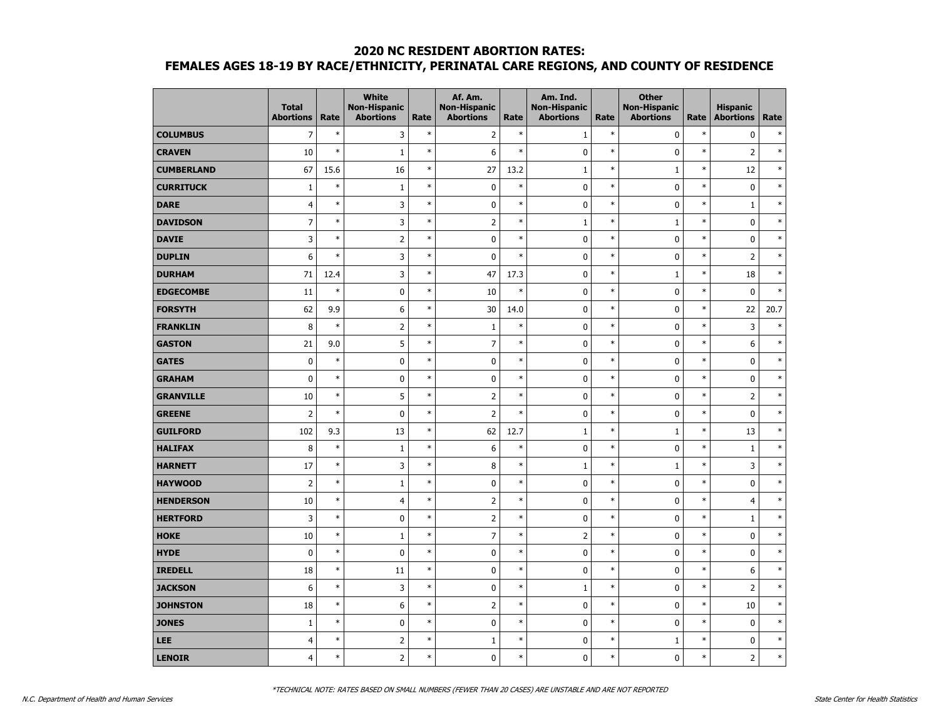|                   | <b>Total</b><br><b>Abortions</b> | Rate   | <b>White</b><br><b>Non-Hispanic</b><br><b>Abortions</b> | Rate   | Af. Am.<br><b>Non-Hispanic</b><br><b>Abortions</b> | Rate   | Am. Ind.<br><b>Non-Hispanic</b><br><b>Abortions</b> | Rate   | <b>Other</b><br><b>Non-Hispanic</b><br><b>Abortions</b> | Rate   | <b>Hispanic</b><br><b>Abortions</b> | Rate   |
|-------------------|----------------------------------|--------|---------------------------------------------------------|--------|----------------------------------------------------|--------|-----------------------------------------------------|--------|---------------------------------------------------------|--------|-------------------------------------|--------|
| <b>COLUMBUS</b>   | $\overline{7}$                   | $\ast$ | 3                                                       | $\ast$ | $\overline{2}$                                     | $\ast$ | $\mathbf 1$                                         | $\ast$ | $\mathbf 0$                                             | $\ast$ | $\pmb{0}$                           | $\ast$ |
| <b>CRAVEN</b>     | 10                               | $\ast$ | $1\,$                                                   | $\ast$ | $\boldsymbol{6}$                                   | $\ast$ | $\pmb{0}$                                           | $\ast$ | 0                                                       | $\ast$ | $\overline{2}$                      | $\ast$ |
| <b>CUMBERLAND</b> | 67                               | 15.6   | 16                                                      | $\ast$ | 27                                                 | 13.2   | $\mathbf{1}$                                        | $\ast$ | $\mathbf{1}$                                            | $\ast$ | 12                                  | $\ast$ |
| <b>CURRITUCK</b>  | $\mathbf{1}$                     | $\ast$ | $\mathbf{1}$                                            | $\ast$ | $\pmb{0}$                                          | $\ast$ | 0                                                   | $\ast$ | 0                                                       | $\ast$ | $\pmb{0}$                           | $\ast$ |
| <b>DARE</b>       | $\overline{4}$                   | $\ast$ | 3                                                       | $\ast$ | $\pmb{0}$                                          | $\ast$ | 0                                                   | $\ast$ | 0                                                       | $\ast$ | $\mathbf{1}$                        | $\ast$ |
| <b>DAVIDSON</b>   | $\overline{7}$                   | $\ast$ | 3                                                       | $\ast$ | $\overline{2}$                                     | $\ast$ | $1\,$                                               | $\ast$ | $\mathbf 1$                                             | $\ast$ | $\pmb{0}$                           | $\ast$ |
| <b>DAVIE</b>      | $\overline{3}$                   | $\ast$ | $\overline{2}$                                          | $\ast$ | $\pmb{0}$                                          | $\ast$ | $\mathbf 0$                                         | $\ast$ | $\mathbf 0$                                             | $\ast$ | $\pmb{0}$                           | $\ast$ |
| <b>DUPLIN</b>     | 6                                | $\ast$ | 3                                                       | $\ast$ | $\mathbf 0$                                        | $\ast$ | 0                                                   | $\ast$ | 0                                                       | $\ast$ | $\overline{2}$                      | $\ast$ |
| <b>DURHAM</b>     | 71                               | 12.4   | 3                                                       | $\ast$ | 47                                                 | 17.3   | 0                                                   | $\ast$ | $\mathbf{1}$                                            | $\ast$ | 18                                  | $\ast$ |
| <b>EDGECOMBE</b>  | 11                               | $\ast$ | $\pmb{0}$                                               | $\ast$ | 10                                                 | $\ast$ | 0                                                   | $\ast$ | $\mathbf 0$                                             | $\ast$ | $\pmb{0}$                           | $\ast$ |
| <b>FORSYTH</b>    | 62                               | 9.9    | 6                                                       | $\ast$ | 30                                                 | 14.0   | $\mathbf 0$                                         | $\ast$ | $\mathbf 0$                                             | $\ast$ | 22                                  | 20.7   |
| <b>FRANKLIN</b>   | 8                                | $\ast$ | $\mathsf{2}\,$                                          | $\ast$ | $\mathbf{1}$                                       | $\ast$ | 0                                                   | $\ast$ | 0                                                       | $\ast$ | $\overline{3}$                      | $\ast$ |
| <b>GASTON</b>     | 21                               | 9.0    | 5                                                       | $\ast$ | $\overline{7}$                                     | $\ast$ | 0                                                   | $\ast$ | 0                                                       | $\ast$ | 6                                   | $\ast$ |
| <b>GATES</b>      | $\mathbf 0$                      | $\ast$ | 0                                                       | $\ast$ | $\pmb{0}$                                          | $\ast$ | 0                                                   | $\ast$ | 0                                                       | $\ast$ | 0                                   | $\ast$ |
| <b>GRAHAM</b>     | $\mathbf 0$                      | $\ast$ | $\pmb{0}$                                               | $\ast$ | $\pmb{0}$                                          | $\ast$ | $\mathbf 0$                                         | $\ast$ | $\mathbf 0$                                             | $\ast$ | $\pmb{0}$                           | $\ast$ |
| <b>GRANVILLE</b>  | 10                               | $\ast$ | 5                                                       | $\ast$ | $\overline{2}$                                     | $\ast$ | $\mathbf 0$                                         | $\ast$ | $\mathbf 0$                                             | $\ast$ | $\overline{2}$                      | $\ast$ |
| <b>GREENE</b>     | $\overline{2}$                   | $\ast$ | 0                                                       | $\ast$ | $\overline{2}$                                     | $\ast$ | 0                                                   | $\ast$ | 0                                                       | $\ast$ | 0                                   | $\ast$ |
| <b>GUILFORD</b>   | 102                              | 9.3    | 13                                                      | $\ast$ | 62                                                 | 12.7   | $\mathbf{1}$                                        | $\ast$ | $\mathbf{1}$                                            | $\ast$ | 13                                  | $\ast$ |
| <b>HALIFAX</b>    | 8                                | $\ast$ | $\mathbf{1}$                                            | $\ast$ | 6                                                  | $\ast$ | $\mathbf 0$                                         | $\ast$ | $\mathbf 0$                                             | $\ast$ | $\mathbf{1}$                        | $\ast$ |
| <b>HARNETT</b>    | 17                               | $\ast$ | 3                                                       | $\ast$ | 8                                                  | $\ast$ | $\mathbf{1}$                                        | $\ast$ | $\mathbf{1}$                                            | $\ast$ | 3                                   | $\ast$ |
| <b>HAYWOOD</b>    | $\overline{2}$                   | $\ast$ | $\mathbf 1$                                             | $\ast$ | $\pmb{0}$                                          | $\ast$ | 0                                                   | $\ast$ | $\mathbf 0$                                             | $\ast$ | 0                                   | $\ast$ |
| <b>HENDERSON</b>  | 10                               | $\ast$ | $\overline{4}$                                          | $\ast$ | $\overline{2}$                                     | $\ast$ | 0                                                   | $\ast$ | 0                                                       | $\ast$ | $\overline{4}$                      | $\ast$ |
| <b>HERTFORD</b>   | 3                                | $\ast$ | 0                                                       | $\ast$ | $\overline{2}$                                     | $\ast$ | $\mathbf 0$                                         | $\ast$ | 0                                                       | $\ast$ | $\mathbf{1}$                        | $\ast$ |
| <b>HOKE</b>       | 10                               | $\ast$ | $\mathbf{1}$                                            | $\ast$ | $\overline{7}$                                     | $\ast$ | $\overline{2}$                                      | $\ast$ | 0                                                       | $\ast$ | $\pmb{0}$                           | $\ast$ |
| <b>HYDE</b>       | $\mathbf 0$                      | $\ast$ | $\pmb{0}$                                               | $\ast$ | $\pmb{0}$                                          | $\ast$ | 0                                                   | $\ast$ | $\mathbf 0$                                             | $\ast$ | $\pmb{0}$                           | $\ast$ |
| <b>IREDELL</b>    | 18                               | $\ast$ | 11                                                      | $\ast$ | $\pmb{0}$                                          | $\ast$ | $\pmb{0}$                                           | $\ast$ | $\mathbf 0$                                             | $\ast$ | 6                                   | $\ast$ |
| <b>JACKSON</b>    | 6                                | $\ast$ | 3                                                       | $\ast$ | $\pmb{0}$                                          | $\ast$ | $\mathbf{1}$                                        | $\ast$ | $\mathbf 0$                                             | $\ast$ | $\overline{2}$                      | $\ast$ |
| <b>JOHNSTON</b>   | 18                               | $\ast$ | 6                                                       | $\ast$ | $\overline{2}$                                     | $\ast$ | 0                                                   | $\ast$ | 0                                                       | $\ast$ | 10                                  | $\ast$ |
| <b>JONES</b>      | $\mathbf{1}$                     | $\ast$ | 0                                                       | $\ast$ | $\pmb{0}$                                          | $\ast$ | 0                                                   | $\ast$ | 0                                                       | $\ast$ | $\mathbf 0$                         | $\ast$ |
| LEE               | $\overline{4}$                   | $\ast$ | $\overline{2}$                                          | $\ast$ | $1\,$                                              | $\ast$ | 0                                                   | $\ast$ | $\mathbf{1}$                                            | $\ast$ | $\pmb{0}$                           | $\ast$ |
| <b>LENOIR</b>     | $\overline{4}$                   | $\ast$ | $\overline{2}$                                          | $\ast$ | 0                                                  | $\ast$ | 0                                                   | $\ast$ | 0                                                       | $\ast$ | $\overline{2}$                      | $\ast$ |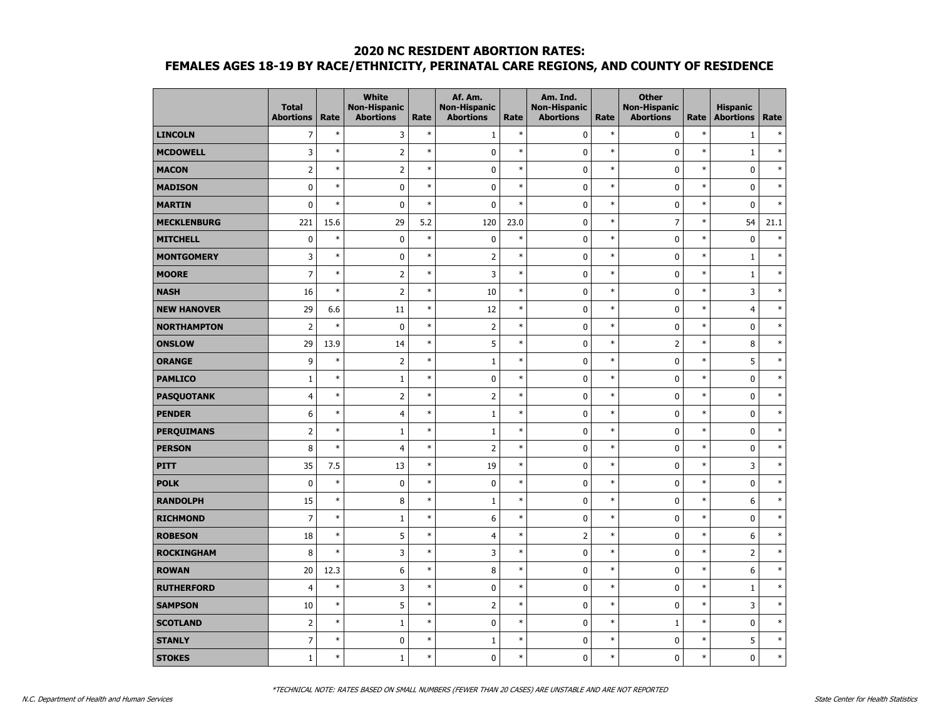|                    | <b>Total</b><br><b>Abortions</b> | Rate   | <b>White</b><br><b>Non-Hispanic</b><br><b>Abortions</b> | Rate   | Af. Am.<br><b>Non-Hispanic</b><br><b>Abortions</b> | Rate   | Am. Ind.<br><b>Non-Hispanic</b><br><b>Abortions</b> | Rate   | <b>Other</b><br><b>Non-Hispanic</b><br><b>Abortions</b> | Rate   | <b>Hispanic</b><br><b>Abortions</b> | Rate   |
|--------------------|----------------------------------|--------|---------------------------------------------------------|--------|----------------------------------------------------|--------|-----------------------------------------------------|--------|---------------------------------------------------------|--------|-------------------------------------|--------|
| <b>LINCOLN</b>     | $\overline{7}$                   | $\ast$ | 3                                                       | $\ast$ | $\mathbf{1}$                                       | $\ast$ | 0                                                   | $\ast$ | 0                                                       | $\ast$ | $1\,$                               | $\ast$ |
| <b>MCDOWELL</b>    | 3                                | $\ast$ | $\overline{2}$                                          | $\ast$ | $\mathbf 0$                                        | $\ast$ | 0                                                   | $\ast$ | $\mathbf 0$                                             | $\ast$ | $\mathbf 1$                         | $\ast$ |
| <b>MACON</b>       | $\overline{2}$                   | $\ast$ | $\overline{2}$                                          | $\ast$ | $\pmb{0}$                                          | $\ast$ | 0                                                   | $\ast$ | $\mathbf 0$                                             | $\ast$ | $\mathbf 0$                         | $\ast$ |
| <b>MADISON</b>     | $\mathbf 0$                      | $\ast$ | 0                                                       | $\ast$ | $\pmb{0}$                                          | $\ast$ | $\mathbf 0$                                         | $\ast$ | $\mathbf 0$                                             | $\ast$ | $\mathbf 0$                         | $\ast$ |
| <b>MARTIN</b>      | $\mathbf 0$                      | $\ast$ | $\pmb{0}$                                               | $\ast$ | $\mathbf 0$                                        | $\ast$ | $\pmb{0}$                                           | $\ast$ | 0                                                       | $\ast$ | $\mathbf 0$                         | $\ast$ |
| <b>MECKLENBURG</b> | 221                              | 15.6   | 29                                                      | 5.2    | 120                                                | 23.0   | 0                                                   | $\ast$ | $\overline{7}$                                          | $\ast$ | 54                                  | 21.1   |
| <b>MITCHELL</b>    | $\mathbf 0$                      | $\ast$ | $\pmb{0}$                                               | $\ast$ | $\pmb{0}$                                          | $\ast$ | 0                                                   | $\ast$ | $\mathbf 0$                                             | $\ast$ | $\pmb{0}$                           | $\ast$ |
| <b>MONTGOMERY</b>  | 3                                | $\ast$ | 0                                                       | $\ast$ | $\overline{2}$                                     | $\ast$ | $\mathbf 0$                                         | $\ast$ | $\mathbf 0$                                             | $\ast$ | $1\,$                               | $\ast$ |
| <b>MOORE</b>       | $\overline{7}$                   | $\ast$ | $\overline{2}$                                          | $\ast$ | 3                                                  | $\ast$ | 0                                                   | $\ast$ | $\mathbf 0$                                             | $\ast$ | $\mathbf{1}$                        | $\ast$ |
| <b>NASH</b>        | 16                               | $\ast$ | $\mathsf{2}\,$                                          | $\ast$ | 10                                                 | $\ast$ | 0                                                   | $\ast$ | 0                                                       | $\ast$ | 3                                   | $\ast$ |
| <b>NEW HANOVER</b> | 29                               | 6.6    | 11                                                      | $\ast$ | 12                                                 | $\ast$ | $\pmb{0}$                                           | $\ast$ | $\pmb{0}$                                               | $\ast$ | $\overline{4}$                      | $\ast$ |
| <b>NORTHAMPTON</b> | $\overline{2}$                   | $\ast$ | 0                                                       | $\ast$ | $\overline{2}$                                     | $\ast$ | 0                                                   | $\ast$ | $\mathbf 0$                                             | $\ast$ | $\pmb{0}$                           | $\ast$ |
| <b>ONSLOW</b>      | 29                               | 13.9   | 14                                                      | $\ast$ | 5                                                  | $\ast$ | 0                                                   | $\ast$ | $\overline{2}$                                          | $\ast$ | 8                                   | $\ast$ |
| <b>ORANGE</b>      | 9                                | $\ast$ | $\overline{2}$                                          | $\ast$ | $1\,$                                              | $\ast$ | $\mathbf 0$                                         | $\ast$ | $\mathbf 0$                                             | $\ast$ | 5                                   | $\ast$ |
| <b>PAMLICO</b>     | $\mathbf{1}$                     | $\ast$ | $\mathbf 1$                                             | $\ast$ | $\pmb{0}$                                          | $\ast$ | 0                                                   | $\ast$ | $\mathbf 0$                                             | $\ast$ | $\pmb{0}$                           | $\ast$ |
| <b>PASQUOTANK</b>  | $\overline{4}$                   | $\ast$ | $\overline{2}$                                          | $\ast$ | $\mathsf{2}$                                       | $\ast$ | $\mathbf 0$                                         | $\ast$ | $\mathbf 0$                                             | $\ast$ | $\pmb{0}$                           | $\ast$ |
| <b>PENDER</b>      | 6                                | $\ast$ | $\overline{4}$                                          | $\ast$ | $\mathbf{1}$                                       | $\ast$ | 0                                                   | $\ast$ | 0                                                       | $\ast$ | $\mathbf 0$                         | $\ast$ |
| <b>PERQUIMANS</b>  | $\overline{2}$                   | $\ast$ | $\mathbf{1}$                                            | $\ast$ | $1\,$                                              | $\ast$ | 0                                                   | $\ast$ | $\mathbf 0$                                             | $\ast$ | $\mathbf 0$                         | $\ast$ |
| <b>PERSON</b>      | 8                                | $\ast$ | $\overline{4}$                                          | $\ast$ | $\overline{2}$                                     | $\ast$ | 0                                                   | $\ast$ | $\mathbf 0$                                             | $\ast$ | $\mathbf 0$                         | $\ast$ |
| <b>PITT</b>        | 35                               | 7.5    | 13                                                      | $\ast$ | 19                                                 | $\ast$ | $\mathbf 0$                                         | $\ast$ | $\mathbf 0$                                             | $\ast$ | 3                                   | $\ast$ |
| <b>POLK</b>        | $\mathbf 0$                      | $\ast$ | 0                                                       | $\ast$ | $\pmb{0}$                                          | $\ast$ | 0                                                   | $\ast$ | 0                                                       | $\ast$ | 0                                   | $\ast$ |
| <b>RANDOLPH</b>    | 15                               | $\ast$ | 8                                                       | $\ast$ | $1\,$                                              | $\ast$ | 0                                                   | $\ast$ | 0                                                       | $\ast$ | 6                                   | $\ast$ |
| <b>RICHMOND</b>    | $\overline{7}$                   | $\ast$ | $\mathbf{1}$                                            | $\ast$ | 6                                                  | $\ast$ | $\mathbf 0$                                         | $\ast$ | $\mathbf 0$                                             | $\ast$ | $\mathbf 0$                         | $\ast$ |
| <b>ROBESON</b>     | 18                               | $\ast$ | 5                                                       | $\ast$ | $\overline{4}$                                     | $\ast$ | $\overline{2}$                                      | $\ast$ | $\mathbf 0$                                             | $\ast$ | 6                                   | $\ast$ |
| <b>ROCKINGHAM</b>  | 8                                | $\ast$ | 3                                                       | $\ast$ | 3                                                  | $\ast$ | $\pmb{0}$                                           | $\ast$ | 0                                                       | $\ast$ | $\overline{2}$                      | $\ast$ |
| <b>ROWAN</b>       | 20                               | 12.3   | 6                                                       | $\ast$ | 8                                                  | $\ast$ | 0                                                   | $\ast$ | 0                                                       | $\ast$ | 6                                   | $\ast$ |
| <b>RUTHERFORD</b>  | $\overline{4}$                   | $\ast$ | 3                                                       | $\ast$ | $\pmb{0}$                                          | $\ast$ | 0                                                   | $\ast$ | 0                                                       | $\ast$ | $\mathbf{1}$                        | $\ast$ |
| <b>SAMPSON</b>     | 10                               | $\ast$ | 5                                                       | $\ast$ | $\overline{2}$                                     | $\ast$ | $\mathbf 0$                                         | $\ast$ | $\mathbf 0$                                             | $\ast$ | 3                                   | $\ast$ |
| <b>SCOTLAND</b>    | $\overline{2}$                   | $\ast$ | $1\,$                                                   | $\ast$ | $\pmb{0}$                                          | $\ast$ | 0                                                   | $\ast$ | $\mathbf{1}$                                            | $\ast$ | $\pmb{0}$                           | $\ast$ |
| <b>STANLY</b>      | $\overline{7}$                   | $\ast$ | 0                                                       | $\ast$ | $\mathbf 1$                                        | $\ast$ | 0                                                   | $\ast$ | 0                                                       | $\ast$ | 5                                   | $\ast$ |
| <b>STOKES</b>      | $\mathbf{1}$                     | $\ast$ | $\mathbf{1}$                                            | $\ast$ | $\mathbf 0$                                        | $\ast$ | 0                                                   | $\ast$ | $\mathbf 0$                                             | $\ast$ | $\mathbf 0$                         | $\ast$ |